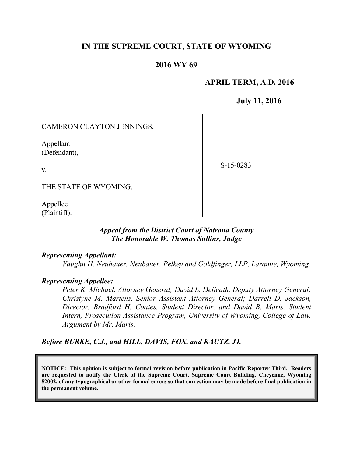# **IN THE SUPREME COURT, STATE OF WYOMING**

# **2016 WY 69**

### **APRIL TERM, A.D. 2016**

**July 11, 2016**

CAMERON CLAYTON JENNINGS,

Appellant (Defendant),

v.

S-15-0283

THE STATE OF WYOMING,

Appellee (Plaintiff).

### *Appeal from the District Court of Natrona County The Honorable W. Thomas Sullins, Judge*

#### *Representing Appellant:*

*Vaughn H. Neubauer, Neubauer, Pelkey and Goldfinger, LLP, Laramie, Wyoming.*

### *Representing Appellee:*

*Peter K. Michael, Attorney General; David L. Delicath, Deputy Attorney General; Christyne M. Martens, Senior Assistant Attorney General; Darrell D. Jackson, Director, Bradford H. Coates, Student Director, and David B. Maris, Student Intern, Prosecution Assistance Program, University of Wyoming, College of Law. Argument by Mr. Maris.*

*Before BURKE, C.J., and HILL, DAVIS, FOX, and KAUTZ, JJ.*

**NOTICE: This opinion is subject to formal revision before publication in Pacific Reporter Third. Readers are requested to notify the Clerk of the Supreme Court, Supreme Court Building, Cheyenne, Wyoming 82002, of any typographical or other formal errors so that correction may be made before final publication in the permanent volume.**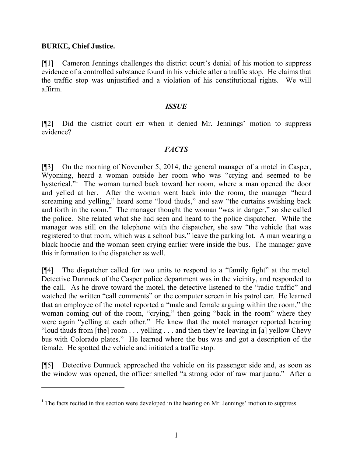# **BURKE, Chief Justice.**

 $\overline{a}$ 

[¶1] Cameron Jennings challenges the district court's denial of his motion to suppress evidence of a controlled substance found in his vehicle after a traffic stop. He claims that the traffic stop was unjustified and a violation of his constitutional rights. We will affirm.

### *ISSUE*

[¶2] Did the district court err when it denied Mr. Jennings' motion to suppress evidence?

# *FACTS*

[¶3] On the morning of November 5, 2014, the general manager of a motel in Casper, Wyoming, heard a woman outside her room who was "crying and seemed to be hysterical."<sup>1</sup> The woman turned back toward her room, where a man opened the door and yelled at her. After the woman went back into the room, the manager "heard screaming and yelling," heard some "loud thuds," and saw "the curtains swishing back and forth in the room." The manager thought the woman "was in danger," so she called the police. She related what she had seen and heard to the police dispatcher. While the manager was still on the telephone with the dispatcher, she saw "the vehicle that was registered to that room, which was a school bus," leave the parking lot. A man wearing a black hoodie and the woman seen crying earlier were inside the bus. The manager gave this information to the dispatcher as well.

[¶4] The dispatcher called for two units to respond to a "family fight" at the motel. Detective Dunnuck of the Casper police department was in the vicinity, and responded to the call. As he drove toward the motel, the detective listened to the "radio traffic" and watched the written "call comments" on the computer screen in his patrol car. He learned that an employee of the motel reported a "male and female arguing within the room," the woman coming out of the room, "crying," then going "back in the room" where they were again "yelling at each other." He knew that the motel manager reported hearing "loud thuds from [the] room . . . yelling . . . and then they're leaving in [a] yellow Chevy bus with Colorado plates." He learned where the bus was and got a description of the female. He spotted the vehicle and initiated a traffic stop.

[¶5] Detective Dunnuck approached the vehicle on its passenger side and, as soon as the window was opened, the officer smelled "a strong odor of raw marijuana." After a

 $<sup>1</sup>$  The facts recited in this section were developed in the hearing on Mr. Jennings' motion to suppress.</sup>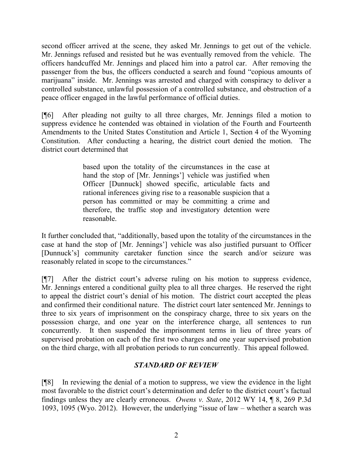second officer arrived at the scene, they asked Mr. Jennings to get out of the vehicle. Mr. Jennings refused and resisted but he was eventually removed from the vehicle. The officers handcuffed Mr. Jennings and placed him into a patrol car. After removing the passenger from the bus, the officers conducted a search and found "copious amounts of marijuana" inside. Mr. Jennings was arrested and charged with conspiracy to deliver a controlled substance, unlawful possession of a controlled substance, and obstruction of a peace officer engaged in the lawful performance of official duties.

[¶6] After pleading not guilty to all three charges, Mr. Jennings filed a motion to suppress evidence he contended was obtained in violation of the Fourth and Fourteenth Amendments to the United States Constitution and Article 1, Section 4 of the Wyoming Constitution. After conducting a hearing, the district court denied the motion. The district court determined that

> based upon the totality of the circumstances in the case at hand the stop of [Mr. Jennings'] vehicle was justified when Officer [Dunnuck] showed specific, articulable facts and rational inferences giving rise to a reasonable suspicion that a person has committed or may be committing a crime and therefore, the traffic stop and investigatory detention were reasonable.

It further concluded that, "additionally, based upon the totality of the circumstances in the case at hand the stop of [Mr. Jennings'] vehicle was also justified pursuant to Officer [Dunnuck's] community caretaker function since the search and/or seizure was reasonably related in scope to the circumstances."

[¶7] After the district court's adverse ruling on his motion to suppress evidence, Mr. Jennings entered a conditional guilty plea to all three charges. He reserved the right to appeal the district court's denial of his motion. The district court accepted the pleas and confirmed their conditional nature. The district court later sentenced Mr. Jennings to three to six years of imprisonment on the conspiracy charge, three to six years on the possession charge, and one year on the interference charge, all sentences to run concurrently. It then suspended the imprisonment terms in lieu of three years of supervised probation on each of the first two charges and one year supervised probation on the third charge, with all probation periods to run concurrently. This appeal followed.

# *STANDARD OF REVIEW*

[¶8] In reviewing the denial of a motion to suppress, we view the evidence in the light most favorable to the district court's determination and defer to the district court's factual findings unless they are clearly erroneous. *Owens v. State*, 2012 WY 14, ¶ 8, 269 P.3d 1093, 1095 (Wyo. 2012). However, the underlying "issue of law – whether a search was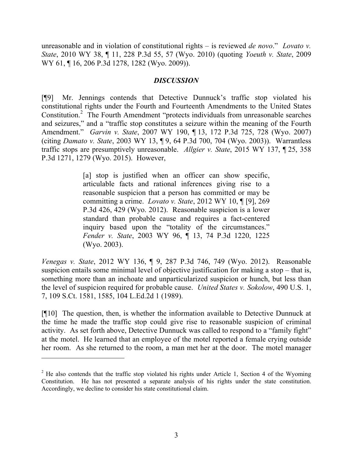unreasonable and in violation of constitutional rights – is reviewed *de novo*." *Lovato v. State*, 2010 WY 38, ¶ 11, 228 P.3d 55, 57 (Wyo. 2010) (quoting *Yoeuth v. State*, 2009 WY 61, ¶ 16, 206 P.3d 1278, 1282 (Wyo. 2009)).

## *DISCUSSION*

[¶9] Mr. Jennings contends that Detective Dunnuck's traffic stop violated his constitutional rights under the Fourth and Fourteenth Amendments to the United States Constitution.<sup>2</sup> The Fourth Amendment "protects individuals from unreasonable searches and seizures," and a "traffic stop constitutes a seizure within the meaning of the Fourth Amendment." *Garvin v. State*, 2007 WY 190, ¶ 13, 172 P.3d 725, 728 (Wyo. 2007) (citing *Damato v. State*, 2003 WY 13, ¶ 9, 64 P.3d 700, 704 (Wyo. 2003)). Warrantless traffic stops are presumptively unreasonable. *Allgier v. State*, 2015 WY 137, ¶ 25, 358 P.3d 1271, 1279 (Wyo. 2015). However,

> [a] stop is justified when an officer can show specific, articulable facts and rational inferences giving rise to a reasonable suspicion that a person has committed or may be committing a crime. *Lovato v. State*, 2012 WY 10, ¶ [9], 269 P.3d 426, 429 (Wyo. 2012). Reasonable suspicion is a lower standard than probable cause and requires a fact-centered inquiry based upon the "totality of the circumstances." *Fender v. State*, 2003 WY 96, ¶ 13, 74 P.3d 1220, 1225 (Wyo. 2003).

*Venegas v. State*, 2012 WY 136, ¶ 9, 287 P.3d 746, 749 (Wyo. 2012). Reasonable suspicion entails some minimal level of objective justification for making a stop – that is, something more than an inchoate and unparticularized suspicion or hunch, but less than the level of suspicion required for probable cause. *United States v. Sokolow*, 490 U.S. 1, 7, 109 S.Ct. 1581, 1585, 104 L.Ed.2d 1 (1989).

[¶10] The question, then, is whether the information available to Detective Dunnuck at the time he made the traffic stop could give rise to reasonable suspicion of criminal activity. As set forth above, Detective Dunnuck was called to respond to a "family fight" at the motel. He learned that an employee of the motel reported a female crying outside her room. As she returned to the room, a man met her at the door. The motel manager

 $2$  He also contends that the traffic stop violated his rights under Article 1, Section 4 of the Wyoming Constitution. He has not presented a separate analysis of his rights under the state constitution. Accordingly, we decline to consider his state constitutional claim.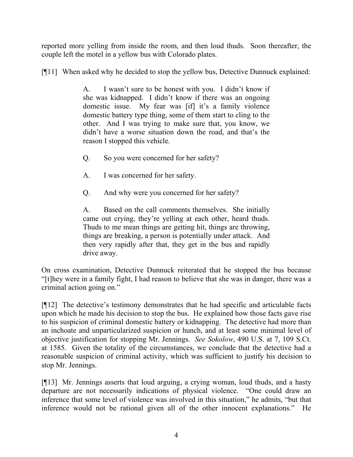reported more yelling from inside the room, and then loud thuds. Soon thereafter, the couple left the motel in a yellow bus with Colorado plates.

[¶11] When asked why he decided to stop the yellow bus, Detective Dunnuck explained:

A. I wasn't sure to be honest with you. I didn't know if she was kidnapped. I didn't know if there was an ongoing domestic issue. My fear was [if] it's a family violence domestic battery type thing, some of them start to cling to the other. And I was trying to make sure that, you know, we didn't have a worse situation down the road, and that's the reason I stopped this vehicle.

- Q. So you were concerned for her safety?
- A. I was concerned for her safety.
- Q. And why were you concerned for her safety?

A. Based on the call comments themselves. She initially came out crying, they're yelling at each other, heard thuds. Thuds to me mean things are getting hit, things are throwing, things are breaking, a person is potentially under attack. And then very rapidly after that, they get in the bus and rapidly drive away.

On cross examination, Detective Dunnuck reiterated that he stopped the bus because "[t]hey were in a family fight, I had reason to believe that she was in danger, there was a criminal action going on."

[¶12] The detective's testimony demonstrates that he had specific and articulable facts upon which he made his decision to stop the bus. He explained how those facts gave rise to his suspicion of criminal domestic battery or kidnapping. The detective had more than an inchoate and unparticularized suspicion or hunch, and at least some minimal level of objective justification for stopping Mr. Jennings. *See Sokolow*, 490 U.S. at 7, 109 S.Ct. at 1585. Given the totality of the circumstances, we conclude that the detective had a reasonable suspicion of criminal activity, which was sufficient to justify his decision to stop Mr. Jennings.

[¶13] Mr. Jennings asserts that loud arguing, a crying woman, loud thuds, and a hasty departure are not necessarily indications of physical violence. "One could draw an inference that some level of violence was involved in this situation," he admits, "but that inference would not be rational given all of the other innocent explanations." He